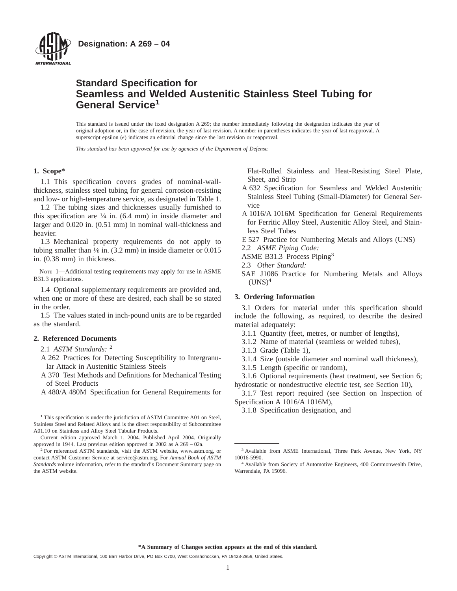

# **Standard Specification for Seamless and Welded Austenitic Stainless Steel Tubing for General Service<sup>1</sup>**

This standard is issued under the fixed designation A 269; the number immediately following the designation indicates the year of original adoption or, in the case of revision, the year of last revision. A number in parentheses indicates the year of last reapproval. A superscript epsilon  $(\epsilon)$  indicates an editorial change since the last revision or reapproval.

*This standard has been approved for use by agencies of the Department of Defense.*

#### **1. Scope\***

1.1 This specification covers grades of nominal-wallthickness, stainless steel tubing for general corrosion-resisting and low- or high-temperature service, as designated in Table 1.

1.2 The tubing sizes and thicknesses usually furnished to this specification are  $\frac{1}{4}$  in. (6.4 mm) in inside diameter and larger and 0.020 in. (0.51 mm) in nominal wall-thickness and heavier.

1.3 Mechanical property requirements do not apply to tubing smaller than  $\frac{1}{8}$  in. (3.2 mm) in inside diameter or 0.015 in. (0.38 mm) in thickness.

NOTE 1—Additional testing requirements may apply for use in ASME B31.3 applications.

1.4 Optional supplementary requirements are provided and, when one or more of these are desired, each shall be so stated in the order.

1.5 The values stated in inch-pound units are to be regarded as the standard.

## **2. Referenced Documents**

2.1 *ASTM Standards:* <sup>2</sup>

- A 262 Practices for Detecting Susceptibility to Intergranular Attack in Austenitic Stainless Steels
- A 370 Test Methods and Definitions for Mechanical Testing of Steel Products

A 480/A 480M Specification for General Requirements for

Flat-Rolled Stainless and Heat-Resisting Steel Plate, Sheet, and Strip

- A 632 Specification for Seamless and Welded Austenitic Stainless Steel Tubing (Small-Diameter) for General Service
- A 1016/A 1016M Specification for General Requirements for Ferritic Alloy Steel, Austenitic Alloy Steel, and Stainless Steel Tubes
- E 527 Practice for Numbering Metals and Alloys (UNS)
- 2.2 *ASME Piping Code:*
- ASME B31.3 Process Piping<sup>3</sup>
- 2.3 *Other Standard:*
- SAE J1086 Practice for Numbering Metals and Alloys  $(UNS)<sup>4</sup>$

#### **3. Ordering Information**

3.1 Orders for material under this specification should include the following, as required, to describe the desired material adequately:

- 3.1.1 Quantity (feet, metres, or number of lengths),
- 3.1.2 Name of material (seamless or welded tubes),
- 3.1.3 Grade (Table 1),
- 3.1.4 Size (outside diameter and nominal wall thickness),
- 3.1.5 Length (specific or random),

3.1.6 Optional requirements (heat treatment, see Section 6; hydrostatic or nondestructive electric test, see Section 10),

3.1.7 Test report required (see Section on Inspection of Specification A 1016/A 1016M),

<sup>&</sup>lt;sup>1</sup>This specification is under the jurisdiction of ASTM Committee A01 on Steel,<br><sup>1</sup>This specification is under the jurisdiction of ASTM Committee A01 on Steel, Stainless Steel and Related Alloys and is the direct responsibility of Subcommittee A01.10 on Stainless and Alloy Steel Tubular Products.

Current edition approved March 1, 2004. Published April 2004. Originally approved in 1944. Last previous edition approved in 2002 as A 269 – 02a.

<sup>&</sup>lt;sup>2</sup> For referenced ASTM standards, visit the ASTM website, www.astm.org, or contact ASTM Customer Service at service@astm.org. For *Annual Book of ASTM Standards* volume information, refer to the standard's Document Summary page on the ASTM website.

<sup>&</sup>lt;sup>3</sup> Available from ASME International, Three Park Avenue, New York, NY 10016-5990.

<sup>4</sup> Available from Society of Automotive Engineers, 400 Commonwealth Drive, Warrendale, PA 15096.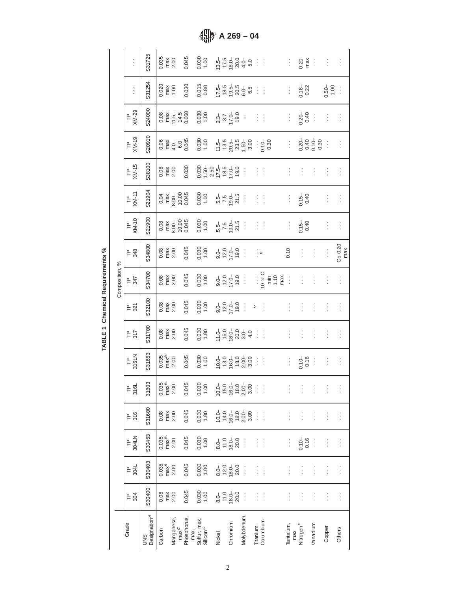|                | $\vdots$         | S31725                          | 0.035                               | $\frac{max}{2.00}$                                  | 0.045               | 0.030                                                                                       |        |                                                          | $13.5 - 20.0 - 5.0$<br>$17.5 - 20.0 - 5.0$<br>$13.5 - 5.0$                                             | 33             |                       |                                                                                              | ÷        | 0.20                         | ÷                          | ł             | $\vdots$       |
|----------------|------------------|---------------------------------|-------------------------------------|-----------------------------------------------------|---------------------|---------------------------------------------------------------------------------------------|--------|----------------------------------------------------------|--------------------------------------------------------------------------------------------------------|----------------|-----------------------|----------------------------------------------------------------------------------------------|----------|------------------------------|----------------------------|---------------|----------------|
|                | $\vdots$         | S31254                          | 0.020                               | $\begin{array}{c}\n\text{max} \\ 1.00\n\end{array}$ | 0.030               | 0.015                                                                                       |        |                                                          | 1<br>185<br>195<br>195<br>195<br>6                                                                     |                | 33                    |                                                                                              | į.       | $3.18 - 0.22$                |                            | $-0.50$       | ÷              |
|                | TP<br>XM-29      | S24000                          |                                     | 0.08<br>E 1 4.5<br>O.06<br>O.06                     |                     | 0.030                                                                                       |        | $2.3 - 3.7$<br>17.0-19.0                                 | $\vdots$                                                                                               | ł              | ÷                     |                                                                                              | ŧ        | $0.20 - 0.40$                | ł                          | $\vdots$      | $\vdots$       |
|                | TP<br>XM-19      | S20910                          |                                     | $0.06$<br>max<br>$4.0 -$<br>$6.0$<br>0.045          |                     | 0.030                                                                                       |        |                                                          | $11.5 - 20.5 - 23.5 - 23.5 - 3.00$                                                                     |                | : 6.30                |                                                                                              | Ì,       |                              | $0.30 - 0.30$<br>0.40 0.30 | ÷             | $\vdots$       |
|                | TP<br>XM-15      | S38100                          | 0.08<br>max<br>2.00                 |                                                     | 0.030               | $\begin{array}{c} 0.030 \\ 1.50 - \\ 2.50 \\ 17.5 - \\ 18.5 \\ 19.0 \\ 19.0 \\ \end{array}$ |        |                                                          | ÷                                                                                                      | ł              | ÷,                    |                                                                                              | $\vdots$ | Ì                            | $\vdots$                   | Ì             | $\vdots$       |
|                | TP<br>XM-11      | S21904                          |                                     | $0.04$<br>$\frac{8.00}{6.00}$<br>$0.005$            |                     | 0.030                                                                                       |        | 5.5<br>5.9<br>5.9<br>5.9<br>5.9                          | Î                                                                                                      | ţ.             | $\frac{1}{2}$         |                                                                                              | ŧ.       | $0.15 - 0.40$                |                            | ŀ             | Ì              |
| Composition, % | TP<br>XM-10      | S21900                          |                                     | $0.08$<br>$\frac{8.00}{6.00}$<br>$0.005$            |                     | 0.030                                                                                       |        | $5.5 - 7.5$<br>$7.5 - 5.5$<br>$2.5$                      | ÷                                                                                                      | Ì              | $\frac{1}{2}$         |                                                                                              | ĵ.       | $0.15 -$<br>0.40             |                            | ŀ             | Ì              |
|                | <b>F</b> 348     | S34800                          | 0.08                                | $\frac{max}{2.00}$                                  | 0.045               | 0.030                                                                                       |        | $-0.0$<br>$-0.0$<br>$-0.0$<br>$-0.0$                     | ÷                                                                                                      | įщ             |                       |                                                                                              | 0.10     | $\vdots$                     | $\vdots$                   | $\vdots$      | Co 0.20<br>max |
|                | <b>F</b> 347     | S34700                          | 0.08                                | $\frac{max}{2.00}$                                  | 0.045               | 0.030                                                                                       |        | $-0.0$<br>$-0.0$<br>$-0.0$<br>$-0.0$                     | $\frac{1}{2}$                                                                                          |                |                       | $\begin{array}{c}\n 10 \times C \\  \times F \\  \hline\n 1.10 \\  \hline\n 0\n \end{array}$ | ÷        | $\vdots$                     | $\vdots$                   | $\vdots$      | İ              |
|                | 도 있              | S32100                          | 0.08                                | $\frac{max}{2.00}$                                  | 0.045               | 0.030                                                                                       |        | $0.01$<br>$7.01$<br>$7.00$<br>$19.0$                     | ÷                                                                                                      | $\overline{a}$ | $\vdots$              |                                                                                              | $\vdots$ | $\vdots$                     | $\vdots$                   | Ì             | $\vdots$       |
|                | $P_{317}$        | S31700                          | 0.08                                | $max$<br>$2.00$                                     | 0.045               | 0.030                                                                                       |        |                                                          |                                                                                                        | ÷              | ÷                     |                                                                                              | $\vdots$ | $\vdots$                     | $\vdots$                   | $\vdots$      | $\vdots$       |
|                | P<br>316LN       | S31653                          | $0.035$<br>max <sup>B</sup>         | 2.00                                                | 0.045               | 0.030                                                                                       |        |                                                          | $\begin{array}{c} 10.0 - 10.0 \\ 13.0 - 10.0 \\ 16.0 - 2.0 \\ 2.0 - 10.0 \\ 3.0 - 10.0 \\ \end{array}$ | $\frac{1}{2}$  | ÷                     |                                                                                              | $\vdots$ | $0.10 - 0.16$                | $\vdots$                   | $\vdots$      | $\vdots$       |
|                | P<br>516L        | 31603                           | $0.035$<br>max $B$<br>2.00          |                                                     | 0.045               | 0.030                                                                                       |        |                                                          | $10.0$<br>$15.0$<br>$16.0$<br>$18.0$<br>$18.0$<br>$18.0$<br>$18.0$<br>$18.0$<br>$18.0$                 |                |                       |                                                                                              |          |                              | E E E E E                  |               |                |
|                | $P_{316}$        | S31600                          | 0.08<br>max<br>2.00                 |                                                     | 0.045               | 0.030                                                                                       |        |                                                          | $640000$<br>$6400000$                                                                                  |                |                       |                                                                                              |          | 封闭                           | ÷                          | $\frac{1}{2}$ | ÷              |
|                | <b>P</b> MALN    | S30453                          | $0.035$<br>max $B$<br>2.00          |                                                     | 0.045               | 0.030                                                                                       |        | $80 - 0$<br>$70 - 0$<br>$80 - 0$<br>$20 - 0$             |                                                                                                        |                | $\frac{1}{2}$         |                                                                                              | ŧ,       | $0.10 - 0.16$                |                            | ÷             | ÷              |
|                | 모<br>역           | S30403                          | $0.035$<br>max <sup>B</sup><br>2.00 |                                                     | 0.045               | 0.030                                                                                       |        | $8.0 - 0.0$<br>$7.0 - 0.0$<br>$8.0 - 0.0$<br>$2.0 - 0.0$ |                                                                                                        |                | - 14                  |                                                                                              | ŧ,       | ÷,                           | ţ                          | ÷             | ÷              |
|                | F <sub>304</sub> | S30400                          | 0.08                                | $\begin{array}{c}\n\text{max} \\ 2.00\n\end{array}$ | 0.045               | 0.030                                                                                       |        | $8.0 - 0.0$<br>$7.0 - 0.0$<br>$8.0 - 0.0$                |                                                                                                        |                | -99                   |                                                                                              | ŧ,       | ÷                            | ÷                          | ÷             | ÷              |
|                | Grade            | Designation <sup>4</sup><br>SND | Carbon                              | Manganese,<br>max <sup>C</sup>                      | Phosphorus,<br>max. | Sulfur, max.<br>Silicon <sup>C</sup>                                                        | Nickel | Chromium                                                 | Molybdenum                                                                                             |                | Titanium<br>Columbium |                                                                                              | Tantalum | max<br>Nitrogen <sup>F</sup> | vanadium                   | Copper        | Others         |

**A** 269 – 04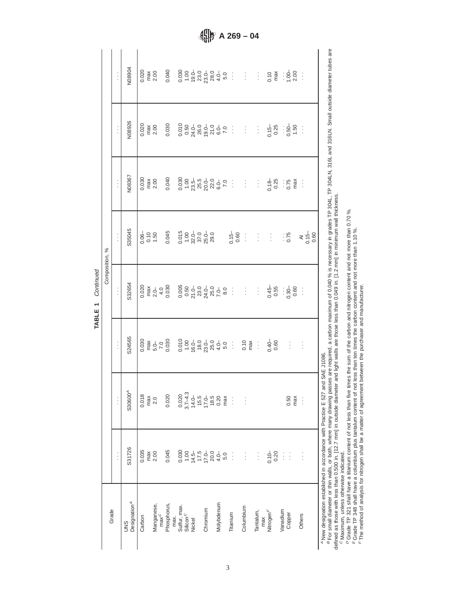TABLE 1 Continued **TABLE 1** Continued

| Grade                                                                                     |                                                         |                                                                     |                                     | Composition, %             |                                                                                 |                                               |                        |          |
|-------------------------------------------------------------------------------------------|---------------------------------------------------------|---------------------------------------------------------------------|-------------------------------------|----------------------------|---------------------------------------------------------------------------------|-----------------------------------------------|------------------------|----------|
|                                                                                           | $\vdots$                                                | $\vdots$                                                            | $\vdots$                            | $\vdots$                   | $\vdots$                                                                        | $\vdots$                                      | $\vdots$               | $\vdots$ |
| Designation <sup>A</sup><br>SND                                                           | S31726                                                  | S30600 <sup>4</sup>                                                 | S24565                              | S32654                     | S35045                                                                          | N08367                                        | N08926                 | N08904   |
| Carbon                                                                                    | 0.035                                                   | 0.018                                                               | 0.030<br>max<br>5.0<br>7.0<br>0.030 |                            | $0.06 - 0.00$                                                                   | $0.030$<br>max<br>2.00                        | $0.020$<br>max<br>2.00 |          |
|                                                                                           |                                                         | max                                                                 |                                     |                            |                                                                                 |                                               |                        |          |
| Manganese,                                                                                | max<br>2.00                                             | 2.0                                                                 |                                     |                            |                                                                                 |                                               |                        |          |
| max <sup>C</sup>                                                                          |                                                         |                                                                     |                                     |                            |                                                                                 |                                               |                        |          |
| Phosphorus,                                                                               | 0.045                                                   | 0.020                                                               |                                     |                            | 0.045                                                                           |                                               |                        |          |
| max.                                                                                      |                                                         |                                                                     |                                     |                            |                                                                                 |                                               |                        |          |
| Sulfur, max.<br>Silicon <sup>C</sup>                                                      |                                                         |                                                                     |                                     |                            | $\begin{array}{c} 0.015 \\ 1.00 \\ 32.0 \\ 37.0 \\ 25.0 \\ 29.0 \\ \end{array}$ |                                               |                        |          |
|                                                                                           |                                                         |                                                                     |                                     |                            |                                                                                 |                                               |                        |          |
| Nickel                                                                                    |                                                         |                                                                     |                                     |                            |                                                                                 |                                               |                        |          |
|                                                                                           |                                                         |                                                                     |                                     |                            |                                                                                 |                                               |                        |          |
| Chromium                                                                                  |                                                         |                                                                     |                                     |                            |                                                                                 |                                               |                        |          |
|                                                                                           |                                                         |                                                                     |                                     |                            |                                                                                 |                                               |                        |          |
| Molybdenum                                                                                |                                                         |                                                                     |                                     |                            |                                                                                 |                                               |                        |          |
|                                                                                           | $0.030$ $0.000$ $0.000$ $0.000$ $0.000$ $0.000$ $0.000$ | 0.020<br>3.7-4.3<br>3.7-4.5<br>0.20<br>0.20<br>0.20<br>0.20<br>0.20 |                                     |                            |                                                                                 |                                               |                        |          |
| Titanium                                                                                  | ÷                                                       | ă                                                                   |                                     |                            | $0.60$ :                                                                        |                                               |                        |          |
| Columbium                                                                                 | $\vdots$                                                | $\frac{1}{2}$                                                       |                                     |                            |                                                                                 |                                               |                        |          |
|                                                                                           |                                                         |                                                                     |                                     |                            |                                                                                 |                                               |                        |          |
| Tantalum,                                                                                 | $\vdots$                                                |                                                                     |                                     |                            | $\frac{1}{2}$                                                                   |                                               |                        |          |
| max                                                                                       |                                                         |                                                                     |                                     |                            |                                                                                 |                                               |                        |          |
| Nitrogen <sup>F</sup>                                                                     | $0.10 - 0.20$                                           |                                                                     |                                     | $0.56$ : $0.80$ : $0.80$ : | $\frac{1}{2}$ .                                                                 | $0.75$<br>$0.25$<br>$0.75$<br>$0.8$<br>$0.75$ |                        |          |
|                                                                                           |                                                         |                                                                     |                                     |                            |                                                                                 |                                               |                        |          |
| Vanadium                                                                                  | $\vdots$                                                |                                                                     |                                     |                            |                                                                                 |                                               |                        |          |
| Copper                                                                                    | $\vdots$                                                | 0.50                                                                | $\frac{1}{2}$                       |                            | 0.75                                                                            |                                               |                        |          |
|                                                                                           |                                                         | max                                                                 |                                     |                            |                                                                                 |                                               |                        |          |
| Others                                                                                    | $\vdots$                                                | Ì                                                                   | ÷                                   |                            |                                                                                 |                                               |                        |          |
|                                                                                           |                                                         |                                                                     |                                     |                            |                                                                                 |                                               |                        |          |
| <sup>A</sup> New designation established in accordance with Practice E 527 and SAE J1086. |                                                         |                                                                     |                                     |                            |                                                                                 |                                               |                        |          |

BCDD E For small diameter or thin walls, or both, where many drawing passes are required, a carbon maximum of 0.040 % is necessary in grades TP 304L, TP 304LN, 316L and 316LN. Small outside diameter tubes are defined as those with less than 0.500 in. [12.7 mm] in outside diameter and light walls are those less than 0.049 in. [1.2 mm] in minimum wall thickness.

Maximum, unless otherwise indicated.

Grade TP 321 shall have a titanium content of not less than five times the sum of the carbon and nitrogen content and not more than 0.70 %.

Grade TP 348 shall have a columbium plus tantalum content of not less than ten times the carbon content and not more than 1.10 %.

The method of analysis for nitrogen shall be a matter of agreement between the purchaser and manufacturer.

**A 269 – 04**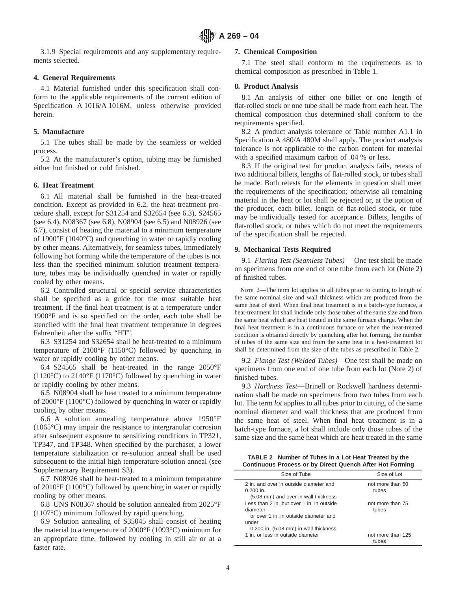3.1.9 Special requirements and any supplementary requirements selected.

## **4. General Requirements**

4.1 Material furnished under this specification shall conform to the applicable requirements of the current edition of Specification A 1016/A 1016M, unless otherwise provided herein.

#### **5. Manufacture**

5.1 The tubes shall be made by the seamless or welded process.

5.2 At the manufacturer's option, tubing may be furnished either hot finished or cold finished.

## **6. Heat Treatment**

6.1 All material shall be furnished in the heat-treated condition. Except as provided in 6.2, the heat-treatment procedure shall, except for S31254 and S32654 (see 6.3), S24565 (see 6.4), N08367 (see 6.8), N08904 (see 6.5) and N08926 (see 6.7), consist of heating the material to a minimum temperature of 1900°F (1040°C) and quenching in water or rapidly cooling by other means. Alternatively, for seamless tubes, immediately following hot forming while the temperature of the tubes is not less than the specified minimum solution treatment temperature, tubes may be individually quenched in water or rapidly cooled by other means.

6.2 Controlled structural or special service characteristics shall be specified as a guide for the most suitable heat treatment. If the final heat treatment is at a temperature under 1900°F and is so specified on the order, each tube shall be stenciled with the final heat treatment temperature in degrees Fahrenheit after the suffix "HT".

6.3 S31254 and S32654 shall be heat-treated to a minimum temperature of 2100°F (1150°C) followed by quenching in water or rapidly cooling by other means.

6.4 S24565 shall be heat-treated in the range 2050°F  $(1120\textdegree C)$  to 2140°F  $(1170\textdegree C)$  followed by quenching in water or rapidly cooling by other means.

6.5 N08904 shall be heat treated to a minimum temperature of 2000°F (1100°C) followed by quenching in water or rapidly cooling by other means.

6.6 A solution annealing temperature above 1950°F (1065°C) may impair the resistance to intergranular corrosion after subsequent exposure to sensitizing conditions in TP321, TP347, and TP348. When specified by the purchaser, a lower temperature stabilization or re-solution anneal shall be used subsequent to the initial high temperature solution anneal (see Supplementary Requirement S3).

6.7 N08926 shall be heat-treated to a minimum temperature of 2010°F (1100°C) followed by quenching in water or rapidly cooling by other means.

6.8 UNS N08367 should be solution annealed from 2025°F (1107°C) minimum followed by rapid quenching.

6.9 Solution annealing of S35045 shall consist of heating the material to a temperature of 2000°F (1093°C) minimum for an appropriate time, followed by cooling in still air or at a faster rate.

#### **7. Chemical Composition**

7.1 The steel shall conform to the requirements as to chemical composition as prescribed in Table 1.

# **8. Product Analysis**

8.1 An analysis of either one billet or one length of flat-rolled stock or one tube shall be made from each heat. The chemical composition thus determined shall conform to the requirements specified.

8.2 A product analysis tolerance of Table number A1.1 in Specification A 480/A 480M shall apply. The product analysis tolerance is not applicable to the carbon content for material with a specified maximum carbon of  $.04\%$  or less.

8.3 If the original test for product analysis fails, retests of two additional billets, lengths of flat-rolled stock, or tubes shall be made. Both retests for the elements in question shall meet the requirements of the specification; otherwise all remaining material in the heat or lot shall be rejected or, at the option of the producer, each billet, length of flat-rolled stock, or tube may be individually tested for acceptance. Billets, lengths of flat-rolled stock, or tubes which do not meet the requirements of the specification shall be rejected.

## **9. Mechanical Tests Required**

9.1 *Flaring Test (Seamless Tubes)*— One test shall be made on specimens from one end of one tube from each lot (Note 2) of finished tubes.

NOTE 2—The term lot applies to all tubes prior to cutting to length of the same nominal size and wall thickness which are produced from the same heat of steel. When final heat treatment is in a batch-type furnace, a heat-treatment lot shall include only those tubes of the same size and from the same heat which are heat treated in the same furnace charge. When the final heat treatment is in a continuous furnace or when the heat-treated condition is obtained directly by quenching after hot forming, the number of tubes of the same size and from the same heat in a heat-treatment lot shall be determined from the size of the tubes as prescribed in Table 2.

9.2 *Flange Test (Welded Tubes)*—One test shall be made on specimens from one end of one tube from each lot (Note 2) of finished tubes.

9.3 *Hardness Test*—Brinell or Rockwell hardness determination shall be made on specimens from two tubes from each lot. The term *lot* applies to all tubes prior to cutting, of the same nominal diameter and wall thickness that are produced from the same heat of steel. When final heat treatment is in a batch-type furnace, a lot shall include only those tubes of the same size and the same heat which are heat treated in the same

**TABLE 2 Number of Tubes in a Lot Heat Treated by the Continuous Process or by Direct Quench After Hot Forming**

| Size of Tube                                                                                            | Size of Lot                |
|---------------------------------------------------------------------------------------------------------|----------------------------|
| 2 in, and over in outside diameter and<br>$0.200$ in.<br>(5.08 mm) and over in wall thickness           | not more than 50<br>tubes  |
| Less than 2 in, but over 1 in, in outside<br>diameter<br>or over 1 in, in outside diameter and<br>under | not more than 75<br>tubes  |
| 0.200 in. (5.08 mm) in wall thickness<br>1 in, or less in outside diameter                              | not more than 125<br>tubes |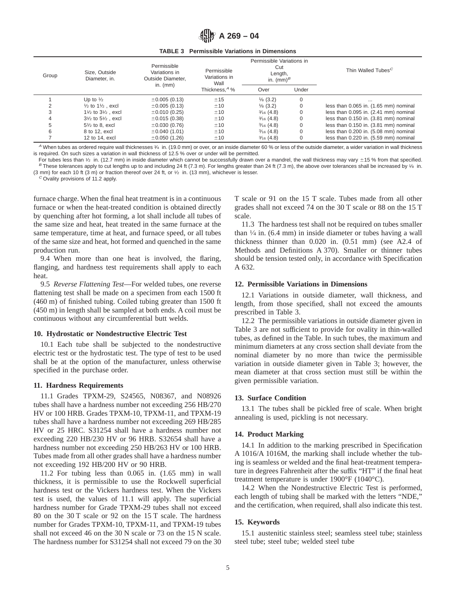

|  | <b>TABLE 3</b> Permissible Variations in Dimensions |
|--|-----------------------------------------------------|
|  |                                                     |

| Group | Size, Outside<br>Diameter, in.          | Permissible<br>Variations in<br>Outside Diameter.<br>in. $(mm)$ | Permissible<br>Variations in<br>Wall | Permissible Variations in<br>Cut<br>Length,<br>in. $(mm)^B$ |       | Thin Walled Tubes <sup>C</sup>        |  |  |
|-------|-----------------------------------------|-----------------------------------------------------------------|--------------------------------------|-------------------------------------------------------------|-------|---------------------------------------|--|--|
|       |                                         |                                                                 | Thickness, <sup>A</sup> %            | Over                                                        | Under |                                       |  |  |
|       | Up to $\frac{1}{2}$                     | $\pm 0.005(0.13)$                                               | ±15                                  | $\frac{1}{8}$ (3.2)                                         | 0     | $\cdots$                              |  |  |
|       | $\frac{1}{2}$ to $\frac{1}{2}$ , excl   | $\pm 0.005(0.13)$                                               | ±10                                  | $\frac{1}{8}$ (3.2)                                         |       | less than 0.065 in. (1.65 mm) nominal |  |  |
| 3     | $1\frac{1}{2}$ to $3\frac{1}{2}$ , excl | $\pm 0.010$ (0.25)                                              | ±10                                  | $\frac{3}{16}$ (4.8)                                        |       | less than 0.095 in. (2.41 mm) nominal |  |  |
|       | $3\frac{1}{2}$ to $5\frac{1}{2}$ , excl | $\pm 0.015(0.38)$                                               | ±10                                  | $\frac{3}{16}$ (4.8)                                        |       | less than 0.150 in. (3.81 mm) nominal |  |  |
|       | $5\frac{1}{2}$ to 8, excl               | $\pm 0.030(0.76)$                                               | ±10                                  | $\frac{3}{16}$ (4.8)                                        |       | less than 0.150 in. (3.81 mm) nominal |  |  |
| 6     | 8 to 12, excl                           | $\pm 0.040$ (1.01)                                              | ±10                                  | $\frac{3}{16}$ (4.8)                                        |       | less than 0.200 in. (5.08 mm) nominal |  |  |
|       | 12 to 14, excl                          | $\pm 0.050$ (1.26)                                              | ±10                                  | $\frac{3}{16}$ (4.8)                                        |       | less than 0.220 in. (5.59 mm) nominal |  |  |

 $^A$  When tubes as ordered require wall thicknesses  $\frac{3}{4}$  in. (19.0 mm) or over, or an inside diameter 60 % or less of the outside diameter, a wider variation in wall thickness is required. On such sizes a variation in wall thickness of 12.5 % over or under will be permitted.

For tubes less than  $1/2$  in. (12.7 mm) in inside diameter which cannot be successfully drawn over a mandrel, the wall thickness may vary  $\pm 15$  % from that specified. B These tolerances apply to cut lengths up to and including 24 ft (7.3 m). For lengths greater than 24 ft (7.3 m), the above over tolerances shall be increased by 1/8 in. (3 mm) for each 10 ft (3 m) or fraction thereof over 24 ft, or 1⁄2 in. (13 mm), whichever is lesser.

 $^{C}$  Ovality provisions of 11.2 apply.

furnace charge. When the final heat treatment is in a continuous furnace or when the heat-treated condition is obtained directly by quenching after hot forming, a lot shall include all tubes of the same size and heat, heat treated in the same furnace at the same temperature, time at heat, and furnace speed, or all tubes of the same size and heat, hot formed and quenched in the same production run.

9.4 When more than one heat is involved, the flaring, flanging, and hardness test requirements shall apply to each heat.

9.5 *Reverse Flattening Test*—For welded tubes, one reverse flattening test shall be made on a specimen from each 1500 ft (460 m) of finished tubing. Coiled tubing greater than 1500 ft (450 m) in length shall be sampled at both ends. A coil must be continuous without any circumferential butt welds.

#### **10. Hydrostatic or Nondestructive Electric Test**

10.1 Each tube shall be subjected to the nondestructive electric test or the hydrostatic test. The type of test to be used shall be at the option of the manufacturer, unless otherwise specified in the purchase order.

#### **11. Hardness Requirements**

11.1 Grades TPXM-29, S24565, N08367, and N08926 tubes shall have a hardness number not exceeding 256 HB/270 HV or 100 HRB. Grades TPXM-10, TPXM-11, and TPXM-19 tubes shall have a hardness number not exceeding 269 HB/285 HV or 25 HRC. S31254 shall have a hardness number not exceeding 220 HB/230 HV or 96 HRB. S32654 shall have a hardness number not exceeding 250 HB/263 HV or 100 HRB. Tubes made from all other grades shall have a hardness number not exceeding 192 HB/200 HV or 90 HRB.

11.2 For tubing less than 0.065 in. (1.65 mm) in wall thickness, it is permissible to use the Rockwell superficial hardness test or the Vickers hardness test. When the Vickers test is used, the values of 11.1 will apply. The superficial hardness number for Grade TPXM-29 tubes shall not exceed 80 on the 30 T scale or 92 on the 15 T scale. The hardness number for Grades TPXM-10, TPXM-11, and TPXM-19 tubes shall not exceed 46 on the 30 N scale or 73 on the 15 N scale. The hardness number for S31254 shall not exceed 79 on the 30 T scale or 91 on the 15 T scale. Tubes made from all other grades shall not exceed 74 on the 30 T scale or 88 on the 15 T scale.

11.3 The hardness test shall not be required on tubes smaller than  $\frac{1}{4}$  in. (6.4 mm) in inside diameter or tubes having a wall thickness thinner than 0.020 in. (0.51 mm) (see A2.4 of Methods and Definitions A 370). Smaller or thinner tubes should be tension tested only, in accordance with Specification A 632.

#### **12. Permissible Variations in Dimensions**

12.1 Variations in outside diameter, wall thickness, and length, from those specified, shall not exceed the amounts prescribed in Table 3.

12.2 The permissible variations in outside diameter given in Table 3 are not sufficient to provide for ovality in thin-walled tubes, as defined in the Table. In such tubes, the maximum and minimum diameters at any cross section shall deviate from the nominal diameter by no more than twice the permissible variation in outside diameter given in Table 3; however, the mean diameter at that cross section must still be within the given permissible variation.

## **13. Surface Condition**

13.1 The tubes shall be pickled free of scale. When bright annealing is used, pickling is not necessary.

## **14. Product Marking**

14.1 In addition to the marking prescribed in Specification A 1016/A 1016M, the marking shall include whether the tubing is seamless or welded and the final heat-treatment temperature in degrees Fahrenheit after the suffix "HT" if the final heat treatment temperature is under 1900°F (1040°C).

14.2 When the Nondestructive Electric Test is performed, each length of tubing shall be marked with the letters "NDE," and the certification, when required, shall also indicate this test.

## **15. Keywords**

15.1 austenitic stainless steel; seamless steel tube; stainless steel tube; steel tube; welded steel tube